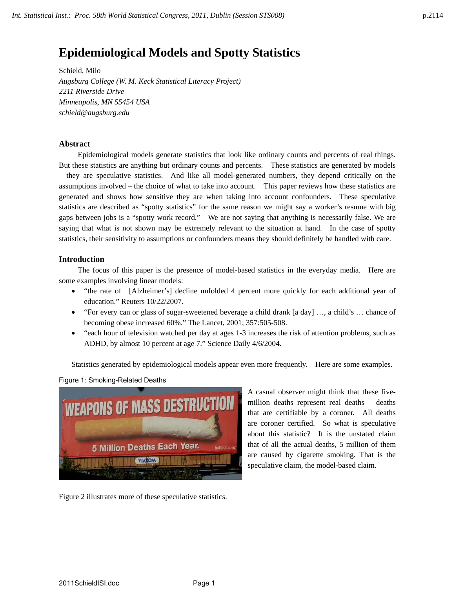# **Epidemiological Models and Spotty Statistics**

Schield, Milo *Augsburg College (W. M. Keck Statistical Literacy Project) 2211 Riverside Drive Minneapolis, MN 55454 USA schield@augsburg.edu* 

## **Abstract**

Epidemiological models generate statistics that look like ordinary counts and percents of real things. But these statistics are anything but ordinary counts and percents. These statistics are generated by models – they are speculative statistics. And like all model-generated numbers, they depend critically on the assumptions involved – the choice of what to take into account. This paper reviews how these statistics are generated and shows how sensitive they are when taking into account confounders. These speculative statistics are described as "spotty statistics" for the same reason we might say a worker's resume with big gaps between jobs is a "spotty work record." We are not saying that anything is necessarily false. We are saying that what is not shown may be extremely relevant to the situation at hand. In the case of spotty statistics, their sensitivity to assumptions or confounders means they should definitely be handled with care.

## **Introduction**

The focus of this paper is the presence of model-based statistics in the everyday media. Here are some examples involving linear models:

- "the rate of [Alzheimer's] decline unfolded 4 percent more quickly for each additional year of education." Reuters 10/22/2007.
- "For every can or glass of sugar-sweetened beverage a child drank [a day] …, a child's … chance of becoming obese increased 60%." The Lancet, 2001; 357:505-508.
- "each hour of television watched per day at ages 1-3 increases the risk of attention problems, such as ADHD, by almost 10 percent at age 7." Science Daily 4/6/2004.

Statistics generated by epidemiological models appear even more frequently. Here are some examples.

Figure 1: Smoking-Related Deaths



A casual observer might think that these fivemillion deaths represent real deaths – deaths that are certifiable by a coroner. All deaths are coroner certified. So what is speculative about this statistic? It is the unstated claim that of all the actual deaths, 5 million of them are caused by cigarette smoking. That is the speculative claim, the model-based claim.

Figure 2 illustrates more of these speculative statistics.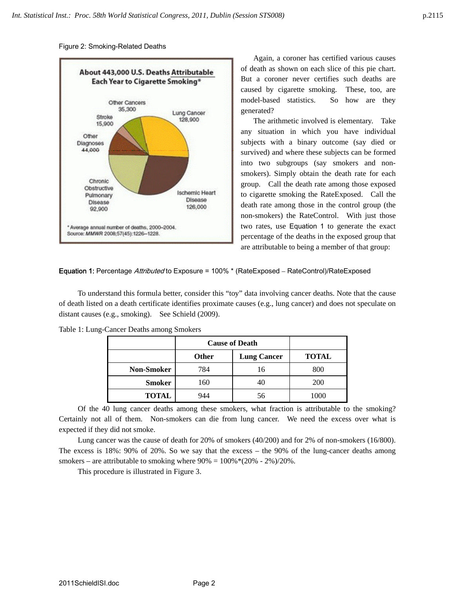Figure 2: Smoking-Related Deaths



Again, a coroner has certified various causes of death as shown on each slice of this pie chart. But a coroner never certifies such deaths are caused by cigarette smoking. These, too, are model-based statistics. So how are they generated?

The arithmetic involved is elementary. Take any situation in which you have individual subjects with a binary outcome (say died or survived) and where these subjects can be formed into two subgroups (say smokers and nonsmokers). Simply obtain the death rate for each group. Call the death rate among those exposed to cigarette smoking the RateExposed. Call the death rate among those in the control group (the non-smokers) the RateControl. With just those two rates, use Equation 1 to generate the exact percentage of the deaths in the exposed group that are attributable to being a member of that group:

Equation 1: Percentage Attributed to Exposure = 100% \* (RateExposed – RateControl)/RateExposed

To understand this formula better, consider this "toy" data involving cancer deaths. Note that the cause of death listed on a death certificate identifies proximate causes (e.g., lung cancer) and does not speculate on distant causes (e.g., smoking). See Schield (2009).

|                   | <b>Cause of Death</b> |                    |              |
|-------------------|-----------------------|--------------------|--------------|
|                   | <b>Other</b>          | <b>Lung Cancer</b> | <b>TOTAL</b> |
| <b>Non-Smoker</b> | 784                   | 16                 | 800          |
| <b>Smoker</b>     | 160                   | 40                 | <b>200</b>   |
| <b>TOTAL</b>      | 944                   | 56                 | 1000         |

Table 1: Lung-Cancer Deaths among Smokers

Of the 40 lung cancer deaths among these smokers, what fraction is attributable to the smoking? Certainly not all of them. Non-smokers can die from lung cancer. We need the excess over what is expected if they did not smoke.

Lung cancer was the cause of death for 20% of smokers (40/200) and for 2% of non-smokers (16/800). The excess is 18%: 90% of 20%. So we say that the excess – the 90% of the lung-cancer deaths among smokers – are attributable to smoking where  $90\% = 100\%*(20\% - 2\%)/20\%$ .

This procedure is illustrated in Figure 3.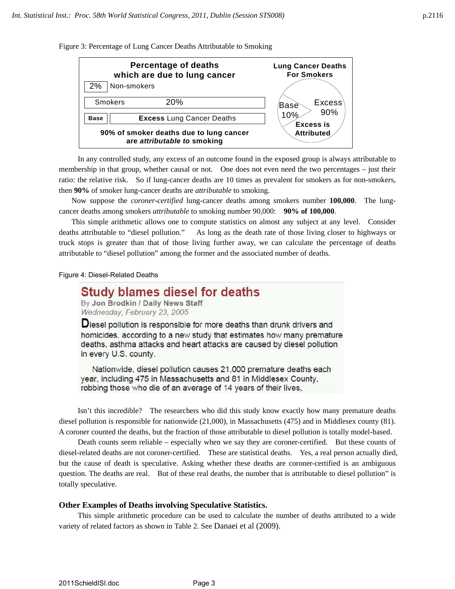Figure 3: Percentage of Lung Cancer Deaths Attributable to Smoking



In any controlled study, any excess of an outcome found in the exposed group is always attributable to membership in that group, whether causal or not. One does not even need the two percentages – just their ratio: the relative risk. So if lung-cancer deaths are 10 times as prevalent for smokers as for non-smokers, then **90%** of smoker lung-cancer deaths are *attributable* to smoking.

Now suppose the *coroner-certified* lung-cancer deaths among smokers number **100,000**. The lungcancer deaths among smokers *attributable* to smoking number 90,000: **90% of 100,000**.

This simple arithmetic allows one to compute statistics on almost any subject at any level. Consider deaths attributable to "diesel pollution." As long as the death rate of those living closer to highways or truck stops is greater than that of those living further away, we can calculate the percentage of deaths attributable to "diesel pollution" among the former and the associated number of deaths.

#### Figure 4: Diesel-Related Deaths

## **Study blames diesel for deaths**

By Jon Brodkin / Daily News Staff Wednesday, February 23, 2005

Diesel pollution is responsible for more deaths than drunk drivers and homicides, according to a new study that estimates how many premature deaths, asthma attacks and heart attacks are caused by diesel pollution in every U.S. county.

Nationwide, diesel pollution causes 21,000 premature deaths each year, including 475 in Massachusetts and 81 in Middlesex County, robbing those who die of an average of 14 years of their lives,

Isn't this incredible? The researchers who did this study know exactly how many premature deaths diesel pollution is responsible for nationwide (21,000), in Massachusetts (475) and in Middlesex county (81). A coroner counted the deaths, but the fraction of those attributable to diesel pollution is totally model-based.

Death counts seem reliable – especially when we say they are coroner-certified. But these counts of diesel-related deaths are not coroner-certified. These are statistical deaths. Yes, a real person actually died, but the cause of death is speculative. Asking whether these deaths are coroner-certified is an ambiguous question. The deaths are real. But of these real deaths, the number that is attributable to diesel pollution" is totally speculative.

## **Other Examples of Deaths involving Speculative Statistics.**

This simple arithmetic procedure can be used to calculate the number of deaths attributed to a wide variety of related factors as shown in Table 2. See Danaei et al (2009).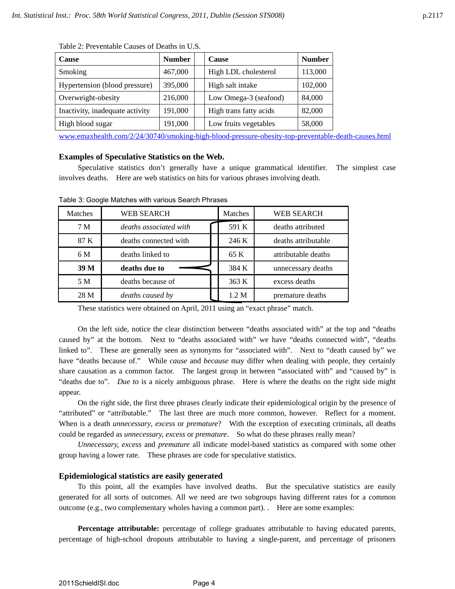| <b>Cause</b>                    | <b>Number</b> |  | <b>Cause</b>           | <b>Number</b> |
|---------------------------------|---------------|--|------------------------|---------------|
| Smoking                         | 467,000       |  | High LDL cholesterol   | 113,000       |
| Hypertension (blood pressure)   | 395,000       |  | High salt intake       | 102,000       |
| Overweight-obesity              | 216,000       |  | Low Omega-3 (seafood)  | 84,000        |
| Inactivity, inadequate activity | 191,000       |  | High trans fatty acids | 82,000        |
| High blood sugar                | 191,000       |  | Low fruits vegetables  | 58,000        |

Table 2: Preventable Causes of Deaths in U.S.

www.emaxhealth.com/2/24/30740/smoking-high-blood-pressure-obesity-top-preventable-death-causes.html

## **Examples of Speculative Statistics on the Web.**

Speculative statistics don't generally have a unique grammatical identifier. The simplest case involves deaths. Here are web statistics on hits for various phrases involving death.

| Matches        | <b>WEB SEARCH</b>      | Matches | <b>WEB SEARCH</b>   |
|----------------|------------------------|---------|---------------------|
| 7 <sub>M</sub> | deaths associated with | 591 K   | deaths attributed   |
| 87 K           | deaths connected with  | 246 K   | deaths attributable |
| 6 M            | deaths linked to       | 65 K    | attributable deaths |
| 39 M           | deaths due to          | 384 K   | unnecessary deaths  |
| 5 M            | deaths because of      | 363 K   | excess deaths       |
| 28 M           | deaths caused by       | 1.2 M   | premature deaths    |

Table 3: Google Matches with various Search Phrases

These statistics were obtained on April, 2011 using an "exact phrase" match.

On the left side, notice the clear distinction between "deaths associated with" at the top and "deaths caused by" at the bottom. Next to "deaths associated with" we have "deaths connected with", "deaths linked to". These are generally seen as synonyms for "associated with". Next to "death caused by" we have "deaths because of." While *cause* and *because* may differ when dealing with people, they certainly share causation as a common factor. The largest group in between "associated with" and "caused by" is "deaths due to". *Due to* is a nicely ambiguous phrase. Here is where the deaths on the right side might appear.

On the right side, the first three phrases clearly indicate their epidemiological origin by the presence of "attributed" or "attributable." The last three are much more common, however. Reflect for a moment. When is a death *unnecessary*, *excess* or *premature*? With the exception of executing criminals, all deaths could be regarded as *unnecessary, excess* or *premature*. So what do these phrases really mean?

*Unnecessary, excess* and *premature* all indicate model-based statistics as compared with some other group having a lower rate. These phrases are code for speculative statistics.

## **Epidemiological statistics are easily generated**

To this point, all the examples have involved deaths. But the speculative statistics are easily generated for all sorts of outcomes. All we need are two subgroups having different rates for a common outcome (e.g., two complementary wholes having a common part). . Here are some examples:

**Percentage attributable:** percentage of college graduates attributable to having educated parents, percentage of high-school dropouts attributable to having a single-parent, and percentage of prisoners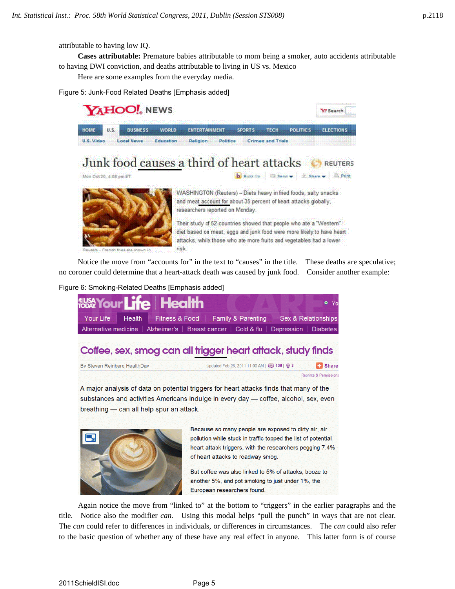attributable to having low IQ.

**Cases attributable:** Premature babies attributable to mom being a smoker, auto accidents attributable to having DWI conviction, and deaths attributable to living in US vs. Mexico

Here are some examples from the everyday media.

Figure 5: Junk-Food Related Deaths [Emphasis added]



Notice the move from "accounts for" in the text to "causes" in the title. These deaths are speculative; no coroner could determine that a heart-attack death was caused by junk food. Consider another example:

#### Figure 6: Smoking-Related Deaths [Emphasis added]



## Coffee, sex, smog can all trigger heart attack, study finds



A major analysis of data on potential triggers for heart attacks finds that many of the substances and activities Americans indulge in every day - coffee, alcohol, sex, even breathing - can all help spur an attack.



Because so many people are exposed to dirty air, air pollution while stuck in traffic topped the list of potential heart attack triggers, with the researchers pegging 7.4% of heart attacks to roadway smog.

But coffee was also linked to 5% of attacks, booze to another 5%, and pot smoking to just under 1%, the European researchers found.

Again notice the move from "linked to" at the bottom to "triggers" in the earlier paragraphs and the title. Notice also the modifier *can.* Using this modal helps "pull the punch" in ways that are not clear. The *can* could refer to differences in individuals, or differences in circumstances. The *can* could also refer to the basic question of whether any of these have any real effect in anyone. This latter form is of course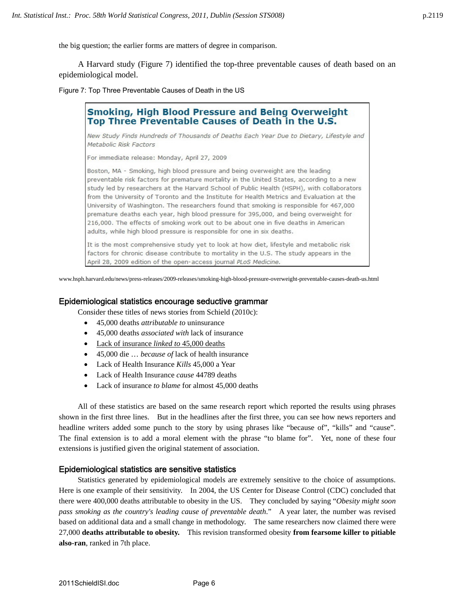the big question; the earlier forms are matters of degree in comparison.

A Harvard study (Figure 7) identified the top-three preventable causes of death based on an epidemiological model.

Figure 7: Top Three Preventable Causes of Death in the US



It is the most comprehensive study yet to look at how diet, lifestyle and metabolic risk factors for chronic disease contribute to mortality in the U.S. The study appears in the April 28, 2009 edition of the open-access journal PLoS Medicine.

www.hsph.harvard.edu/news/press-releases/2009-releases/smoking-high-blood-pressure-overweight-preventable-causes-death-us.html

## Epidemiological statistics encourage seductive grammar

Consider these titles of news stories from Schield (2010c):

- 45,000 deaths *attributable to* uninsurance
- 45,000 deaths *associated with* lack of insurance
- Lack of insurance *linked to* 45,000 deaths
- 45,000 die … *because of* lack of health insurance
- Lack of Health Insurance *Kills* 45,000 a Year
- Lack of Health Insurance *cause* 44789 deaths
- Lack of insurance *to blame* for almost 45,000 deaths

All of these statistics are based on the same research report which reported the results using phrases shown in the first three lines. But in the headlines after the first three, you can see how news reporters and headline writers added some punch to the story by using phrases like "because of", "kills" and "cause". The final extension is to add a moral element with the phrase "to blame for". Yet, none of these four extensions is justified given the original statement of association.

## Epidemiological statistics are sensitive statistics

Statistics generated by epidemiological models are extremely sensitive to the choice of assumptions. Here is one example of their sensitivity. In 2004, the US Center for Disease Control (CDC) concluded that there were 400,000 deaths attributable to obesity in the US. They concluded by saying "*Obesity might soon pass smoking as the country's leading cause of preventable death*." A year later, the number was revised based on additional data and a small change in methodology. The same researchers now claimed there were 27,000 **deaths attributable to obesity.** This revision transformed obesity **from fearsome killer to pitiable also-ran**, ranked in 7th place.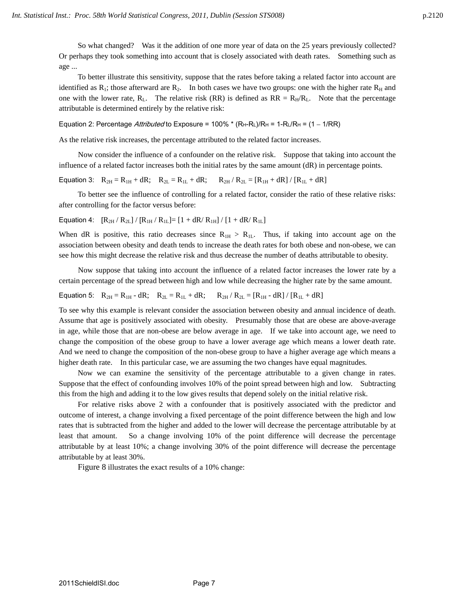So what changed? Was it the addition of one more year of data on the 25 years previously collected? Or perhaps they took something into account that is closely associated with death rates. Something such as age ...

To better illustrate this sensitivity, suppose that the rates before taking a related factor into account are identified as  $R_1$ ; those afterward are  $R_2$ . In both cases we have two groups: one with the higher rate  $R_H$  and one with the lower rate,  $R_L$ . The relative risk (RR) is defined as  $RR = R_H/R_L$ . Note that the percentage attributable is determined entirely by the relative risk:

Equation 2: Percentage *Attributed* to Exposure =  $100\%$  \* ( $R_H - R_L$ )/ $R_H$  =  $1-R_L/R_H$  = (1 –  $1/R$ R)

As the relative risk increases, the percentage attributed to the related factor increases.

Now consider the influence of a confounder on the relative risk. Suppose that taking into account the influence of a related factor increases both the initial rates by the same amount (dR) in percentage points.

Equation 3:  $R_{2H} = R_{1H} + dR$ ;  $R_{2L} = R_{1L} + dR$ ;  $R_{2H} / R_{2L} = [R_{1H} + dR] / [R_{1L} + dR]$ 

To better see the influence of controlling for a related factor, consider the ratio of these relative risks: after controlling for the factor versus before:

Equation 4:  $[R_{2H} / R_{2L}] / [R_{1H} / R_{1L}] = [1 + dR / R_{1H}] / [1 + dR / R_{1L}]$ 

When dR is positive, this ratio decreases since  $R_{1H} > R_{1L}$ . Thus, if taking into account age on the association between obesity and death tends to increase the death rates for both obese and non-obese, we can see how this might decrease the relative risk and thus decrease the number of deaths attributable to obesity.

Now suppose that taking into account the influence of a related factor increases the lower rate by a certain percentage of the spread between high and low while decreasing the higher rate by the same amount.

Equation 5: 
$$
R_{2H} = R_{1H} - dR
$$
;  $R_{2L} = R_{1L} + dR$ ;  $R_{2H} / R_{2L} = [R_{1H} - dR] / [R_{1L} + dR]$ 

To see why this example is relevant consider the association between obesity and annual incidence of death. Assume that age is positively associated with obesity. Presumably those that are obese are above-average in age, while those that are non-obese are below average in age. If we take into account age, we need to change the composition of the obese group to have a lower average age which means a lower death rate. And we need to change the composition of the non-obese group to have a higher average age which means a higher death rate. In this particular case, we are assuming the two changes have equal magnitudes.

Now we can examine the sensitivity of the percentage attributable to a given change in rates. Suppose that the effect of confounding involves 10% of the point spread between high and low. Subtracting this from the high and adding it to the low gives results that depend solely on the initial relative risk.

For relative risks above 2 with a confounder that is positively associated with the predictor and outcome of interest, a change involving a fixed percentage of the point difference between the high and low rates that is subtracted from the higher and added to the lower will decrease the percentage attributable by at least that amount. So a change involving 10% of the point difference will decrease the percentage attributable by at least 10%; a change involving 30% of the point difference will decrease the percentage attributable by at least 30%.

Figure 8 illustrates the exact results of a 10% change: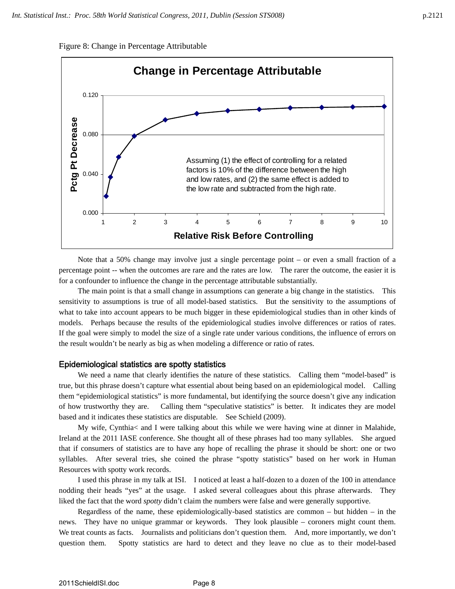Figure 8: Change in Percentage Attributable



Note that a 50% change may involve just a single percentage point – or even a small fraction of a percentage point -- when the outcomes are rare and the rates are low. The rarer the outcome, the easier it is for a confounder to influence the change in the percentage attributable substantially.

The main point is that a small change in assumptions can generate a big change in the statistics. This sensitivity to assumptions is true of all model-based statistics. But the sensitivity to the assumptions of what to take into account appears to be much bigger in these epidemiological studies than in other kinds of models. Perhaps because the results of the epidemiological studies involve differences or ratios of rates. If the goal were simply to model the size of a single rate under various conditions, the influence of errors on the result wouldn't be nearly as big as when modeling a difference or ratio of rates.

## Epidemiological statistics are spotty statistics

We need a name that clearly identifies the nature of these statistics. Calling them "model-based" is true, but this phrase doesn't capture what essential about being based on an epidemiological model. Calling them "epidemiological statistics" is more fundamental, but identifying the source doesn't give any indication of how trustworthy they are. Calling them "speculative statistics" is better. It indicates they are model based and it indicates these statistics are disputable. See Schield (2009).

My wife, Cynthia< and I were talking about this while we were having wine at dinner in Malahide, Ireland at the 2011 IASE conference. She thought all of these phrases had too many syllables. She argued that if consumers of statistics are to have any hope of recalling the phrase it should be short: one or two syllables. After several tries, she coined the phrase "spotty statistics" based on her work in Human Resources with spotty work records.

I used this phrase in my talk at ISI. I noticed at least a half-dozen to a dozen of the 100 in attendance nodding their heads "yes" at the usage. I asked several colleagues about this phrase afterwards. They liked the fact that the word *spotty* didn't claim the numbers were false and were generally supportive.

Regardless of the name, these epidemiologically-based statistics are common – but hidden – in the news. They have no unique grammar or keywords. They look plausible – coroners might count them. We treat counts as facts. Journalists and politicians don't question them. And, more importantly, we don't question them. Spotty statistics are hard to detect and they leave no clue as to their model-based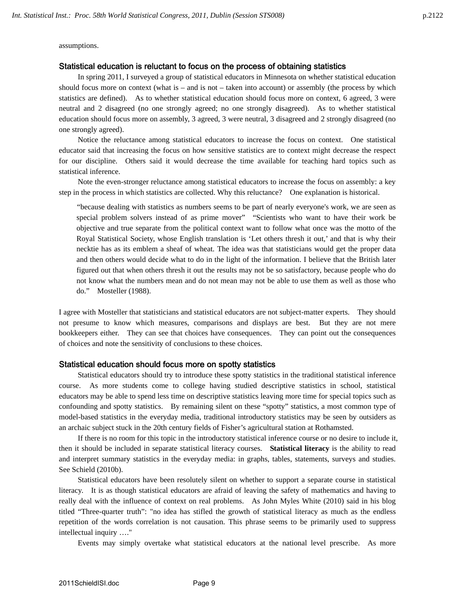assumptions.

### Statistical education is reluctant to focus on the process of obtaining statistics

In spring 2011, I surveyed a group of statistical educators in Minnesota on whether statistical education should focus more on context (what is – and is not – taken into account) or assembly (the process by which statistics are defined). As to whether statistical education should focus more on context, 6 agreed, 3 were neutral and 2 disagreed (no one strongly agreed; no one strongly disagreed). As to whether statistical education should focus more on assembly, 3 agreed, 3 were neutral, 3 disagreed and 2 strongly disagreed (no one strongly agreed).

Notice the reluctance among statistical educators to increase the focus on context. One statistical educator said that increasing the focus on how sensitive statistics are to context might decrease the respect for our discipline. Others said it would decrease the time available for teaching hard topics such as statistical inference.

Note the even-stronger reluctance among statistical educators to increase the focus on assembly: a key step in the process in which statistics are collected. Why this reluctance? One explanation is historical.

"because dealing with statistics as numbers seems to be part of nearly everyone's work, we are seen as special problem solvers instead of as prime mover" "Scientists who want to have their work be objective and true separate from the political context want to follow what once was the motto of the Royal Statistical Society, whose English translation is 'Let others thresh it out,' and that is why their necktie has as its emblem a sheaf of wheat. The idea was that statisticians would get the proper data and then others would decide what to do in the light of the information. I believe that the British later figured out that when others thresh it out the results may not be so satisfactory, because people who do not know what the numbers mean and do not mean may not be able to use them as well as those who do." Mosteller (1988).

I agree with Mosteller that statisticians and statistical educators are not subject-matter experts. They should not presume to know which measures, comparisons and displays are best. But they are not mere bookkeepers either. They can see that choices have consequences. They can point out the consequences of choices and note the sensitivity of conclusions to these choices.

## Statistical education should focus more on spotty statistics

Statistical educators should try to introduce these spotty statistics in the traditional statistical inference course. As more students come to college having studied descriptive statistics in school, statistical educators may be able to spend less time on descriptive statistics leaving more time for special topics such as confounding and spotty statistics. By remaining silent on these "spotty" statistics, a most common type of model-based statistics in the everyday media, traditional introductory statistics may be seen by outsiders as an archaic subject stuck in the 20th century fields of Fisher's agricultural station at Rothamsted.

If there is no room for this topic in the introductory statistical inference course or no desire to include it, then it should be included in separate statistical literacy courses. **Statistical literacy** is the ability to read and interpret summary statistics in the everyday media: in graphs, tables, statements, surveys and studies. See Schield (2010b).

Statistical educators have been resolutely silent on whether to support a separate course in statistical literacy. It is as though statistical educators are afraid of leaving the safety of mathematics and having to really deal with the influence of context on real problems. As John Myles White (2010) said in his blog titled "Three-quarter truth": "no idea has stifled the growth of statistical literacy as much as the endless repetition of the words correlation is not causation. This phrase seems to be primarily used to suppress intellectual inquiry …."

Events may simply overtake what statistical educators at the national level prescribe. As more